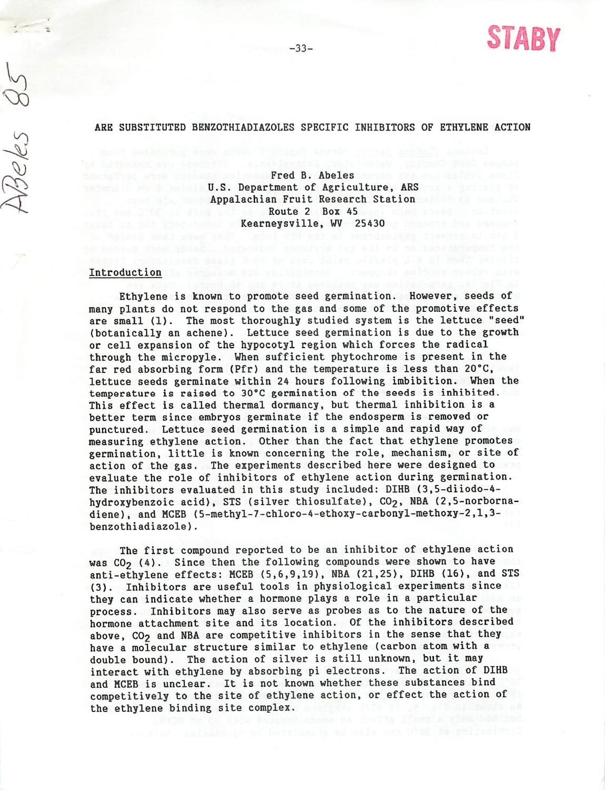

# ARE SUBSTITUTED BENZOTHIADIAZOLES SPECIFIC INHIBITORS OF ETHYLENE ACTION

st solbuda solatel Fred B. Abeles nogus she solderlap U.S. Department of Agriculture, ARS Appalachian Fruit Research Station<br>Route 2 Box 45 Route 2 Box 45 Kearneysville, WV 25430 and a believe the contract of the second second series of the second series of the series of the series of the series of the series of the series of the series of the series of the series of the ser

### Introduction is because an notice and a recognized

Beles

Ethylene is known to promote seed germination. However, seeds of many plants do not respond to the gas and some of the promotive effects are small (1). The most thoroughly studied system is the lettuce "seed" (botanically an achene). Lettuce seed germination is due to the growth or cell expansion of the hypocotyl region which forces the radical through the micropyle. When sufficient phytochrome is present in the far red absorbing form (Pfr) and the temperature is less than 20°C, lettuce seeds germinate within 24 hours following imbibition. When the temperature is raised to 30°C germination of the seeds is inhibited. This effect is called thermal dormancy, but thermal inhibition is a better terra since embryos germinate if the endosperm is removed or punctured. Lettuce seed germination is a simple and rapid way of measuring ethylene action. Other than the fact that ethylene promotes germination, little is known concerning the role, mechanism, or site of action of the gas. The experiments described here were designed to evaluate the role of inhibitors of ethylene action during germination. The inhibitors evaluated in this study included: DIHB (3,5-diiodo-4 hydroxybenzoic acid), STS (silver thiosulfate), CO<sub>2</sub>, NBA (2,5-norbornadiene), and MCEB (5-methyl-7-chloro-4-ethoxy-carbonyl-methoxy-2,l,3 benzothiadiazole).

The first compound reported to be an inhibitor of ethylene action was  $CO<sub>2</sub>$  (4). Since then the following compounds were shown to have anti-ethylene effects: MCEB (5,6,9,19), NBA (21,25), DIHB (16), and STS (3). Inhibitors are useful tools in physiological experiments since they can indicate whether a hormone plays a role in a particular process. Inhibitors may also serve as probes as to the nature of the hormone attachment site and its location. Of the inhibitors described above, CO<sub>2</sub> and NBA are competitive inhibitors in the sense that they have a molecular structure similar to ethylene (carbon atom with a double bound). The action of silver is still unknown, but it may interact with ethylene by absorbing pi electrons. The action of DIHB and MCEB is unclear. It is not known whether these substances bind competitively to the site of ethylene action, or effect the action of the ethylene binding site complex.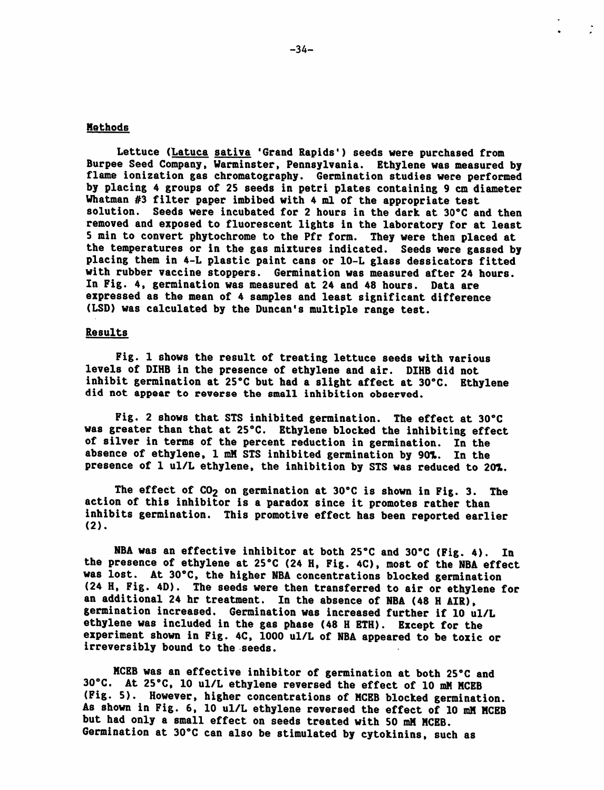# **Methods**

Lettuce (Latuca sativa 'Grand Rapids') seeds were purchased from Burpee Seed Company, Warminster, Pennsylvania. Ethylene was measured by flame ionization gas chromatography. Germination studies were performed by placing 4 groups of 25 seeds in petri plates containing 9 cm diameter Whatman #3 filter paper imbibed with 4 ml of the appropriate test solution. Seeds were incubated for 2 hours in the dark at 30°C and then removed and exposed to fluorescent lights in the laboratory for at least 5 min to convert phytochrome to the Pfr form. They were then placed at the temperatures or in the gas mixtures indicated. Seeds were gassed by placing them in 4-L plastic paint cans or 10-L glass dessicators fitted with rubber vaccine stoppers. Germination was measured after 24 hours. In Fig. 4, germination was measured at 24 and 48 hours. Data are expressed as the mean of 4 samples and least significant difference (LSD) was calculated by the Duncan's multiple range test.

# Results

Fig. 1 shows the result of treating lettuce seeds with various levels of DIHB in the presence of ethylene and air. DIHB did not inhibit germination at 25°C but had a slight affect at 30°C. Ethylene did not appear to reverse the small inhibition observed.

Fig. 2 shows that STS inhibited germination. The effect at 30°C was greater than that at 25°C. Ethylene blocked the inhibiting effect of silver in terms of the percent reduction in germination. In the absence of ethylene, 1 mM STS inhibited germination by 901. In the presence of 1 ul/L ethylene, the inhibition by STS was reduced to 201.

The effect of  $CO<sub>2</sub>$  on germination at 30°C is shown in Fig. 3. The action of this inhibitor is a paradox since it promotes rather than inhibits germination. This promotive effect has been reported earlier  $(2)$ .

NBA was an effective inhibitor at both 25°C and 30°C (Fig. 4). In the presence of ethylene at 25°C (24 H, Fig. 4C), most of the NBA effect was lost. At 30°C, the higher NBA concentrations blocked germination (24 H, Fig. 4D). The seeds were then transferred to air or ethylene for an additional 24 hr treatment. In the absence of NBA (48 H AIR), germination increased. Germination was increased further if 10 ul/L ethylene was included in the gas phase (48 H ETH). Except for the experiment shown in Fig. 4C, 1000 ul/L of NBA appeared to be toxic or irreversibly bound to the seeds.

MCEB was an effective inhibitor of germination at both 25°C and 30°C. At 25°C, 10 ul/L ethylene reversed the effect of 10 mM MCEB (Fig. 5). However, higher concentrations of MCEB blocked germination. As shown in Fig. 6, 10 ul/L ethylene reversed the effect of 10 mM MCEB but had only a small effect on seeds treated with 50 mM MCEB. Germination at 30°C can also be stimulated by cytokinins, such as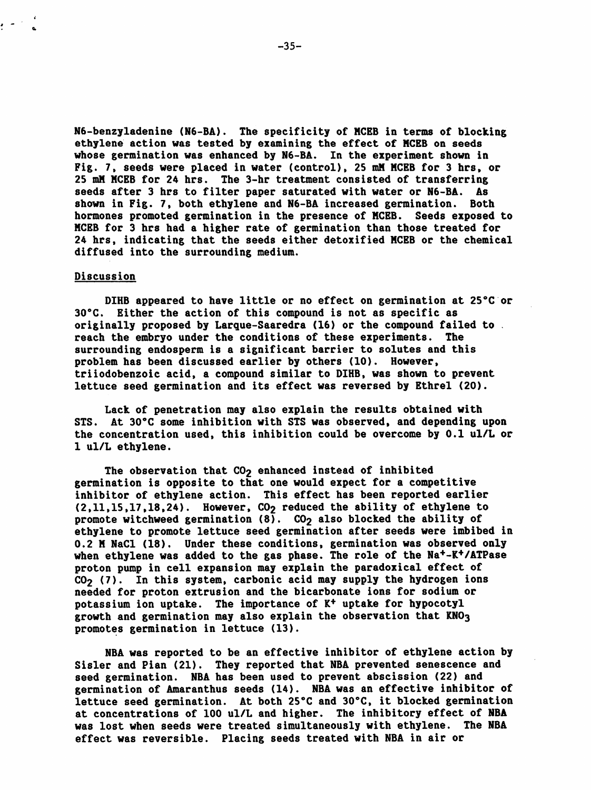N6-benzyladenine (N6-BA). The specificity of MCEB in terms of blocking ethylene action was tested by examining the effect of MCEB on seeds whose germination was enhanced by N6-BA. In the experiment shown in Fig. 7, seeds were placed in water (control), 25 mM MCEB for 3 hrs, or 25 mM MCEB for 24 hrs. The 3-hr treatment consisted of transferring seeds after 3 hrs to filter paper saturated with water or N6-BA. As shown in Fig. 7, both ethylene and N6-BA increased germination. Both hormones promoted germination in the presence of MCEB. Seeds exposed to MCEB for 3 hrs had a higher rate of germination than those treated for 24 hrs, indicating that the seeds either detoxified MCEB or the chemical diffused into the surrounding medium.

#### Discussion

DIHB appeared to have little or no effect on germination at 25°C or 30°C. Either the action of this compound is not as specific as originally proposed by Larque-Saaredra (16) or the compound failed to reach the embryo under the conditions of these experiments. The surrounding endosperm is a significant barrier to solutes and this problem has been discussed earlier by others (10). However, triiodobenzoic acid, a compound similar to DIHB, was shown to prevent lettuce seed germination and its effect was reversed by Ethrel (20).

Lack of penetration may also explain the results obtained with STS. At 30°C some inhibition with STS was observed, and depending upon the concentration used, this inhibition could be overcome by 0.1 ul/L or 1 ul/L ethylene.

The observation that  $CO<sub>2</sub>$  enhanced instead of inhibited germination is opposite to that one would expect for a competitive inhibitor of ethylene action. This effect has been reported earlier  $(2,11,15,17,18,24)$ . However,  $CO<sub>2</sub>$  reduced the ability of ethylene to promote witchweed germination  $(8)$ . CO<sub>2</sub> also blocked the ability of ethylene to promote lettuce seed germination after seeds were imbibed in 0.2 M NaCl (18). Under these conditions, germination was observed only when ethylene was added to the gas phase. The role of the Na<sup>+</sup>-K<sup>+</sup>/ATPase proton pump in cell expansion may explain the paradoxical effect of  $CO<sub>2</sub>$  (7). In this system, carbonic acid may supply the hydrogen ions needed for proton extrusion and the bicarbonate ions for sodium or potassium ion uptake. The importance of K+ uptake for hypocotyl growth and germination may also explain the observation that  $KNO<sub>3</sub>$ promotes germination in lettuce (13).

NBA was reported to be an effective inhibitor of ethylene action by Sisler and Pian (21). They reported that NBA prevented senescence and seed germination. NBA has been used to prevent abscission (22) and germination of Amaranthus seeds (14). NBA was an effective inhibitor of lettuce seed germination. At both 25°C and 30°C, it blocked germination at concentrations of 100 ul/L and higher. The inhibitory effect of NBA was lost when seeds were treated simultaneously with ethylene. The NBA effect was reversible. Placing seeds treated with NBA in air or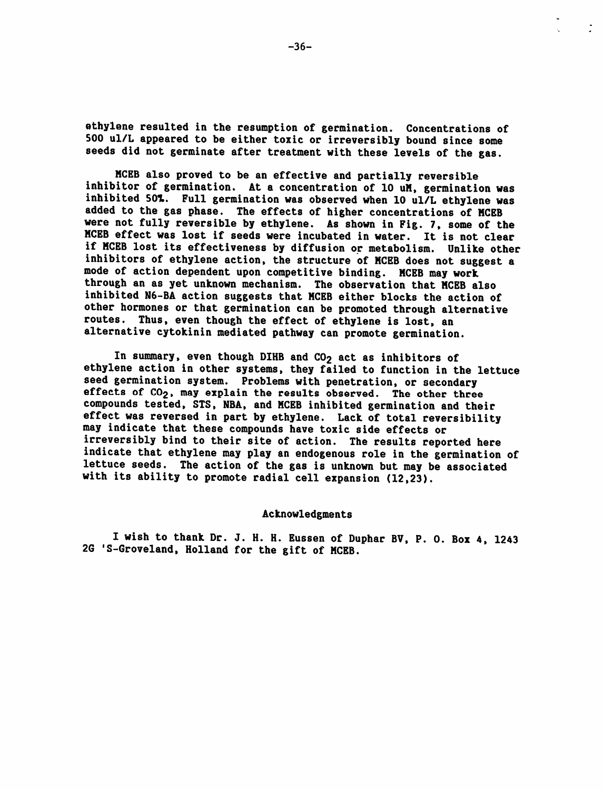ethylene resulted in the resumption of germination. Concentrations of 500 ul/L appeared to be either toxic or irreversibly bound since some seeds did not germinate after treatment with these levels of the gas.

MCEB also proved to be an effective and partially reversible inhibitor of germination. At a concentration of 10 uM, germination was inhibited 50X. Full germination was observed when 10 ul/L ethylene was added to the gas phase. The effects of higher concentrations of MCEB were not fully reversible by ethylene. As shown in Fig. 7, some of the MCEB effect was lost if seeds were incubated in water. It is not clear if MCEB lost its effectiveness by diffusion or metabolism. Unlike other inhibitors of ethylene action, the structure of MCEB does not suggest a mode of action dependent upon competitive binding. MCEB may work through an as yet unknown mechanism. The observation that MCEB also inhibited N6-BA action suggests that MCEB either blocks the action of other hormones or that germination can be promoted through alternative routes. Thus, even though the effect of ethylene is lost, an alternative cytokinin mediated pathway can promote germination.

In summary, even though DIHB and CO<sub>2</sub> act as inhibitors of ethylene action in other systems, they failed to function in the lettuce seed germination system. Problems with penetration, or secondary effects of CO<sub>2</sub>, may explain the results observed. The other three compounds tested, STS, NBA, and MCEB inhibited germination and their effect was reversed in part by ethylene. Lack of total reversibility may indicate that these compounds have toxic side effects or irreversibly bind to their site of action. The results reported here indicate that ethylene may play an endogenous role in the germination of lettuce seeds. The action of the gas is unknown but may be associated with its ability to promote radial cell expansion (12,23).

### Acknowledgments

I wish to thank Dr. J. H. H. Eussen of Duphar BV, P. 0. Box 4, 1243 2G 'S-Groveland, Holland for the gift of MCEB.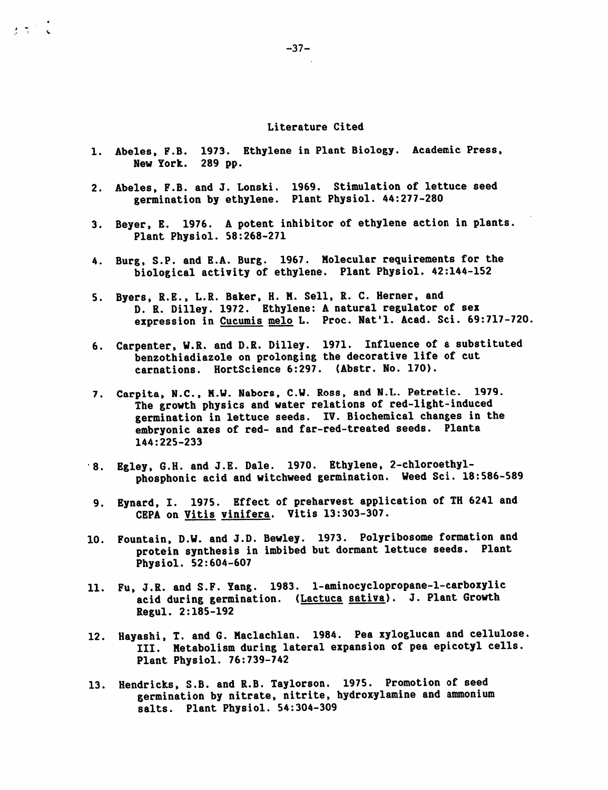## Literature Cited

- 1. Abeles, F.B. 1973. Ethylene in Plant Biology. Academic Press, New York. 289 pp.
- 2. Abeles, F.B. and J. Lonski. 1969. Stimulation of lettuce seed germination by ethylene. Plant Physiol. 44:277-280
- 3. Beyer, E. 1976. A potent inhibitor of ethylene action in plants. Plant Physiol. 58:268-271
- 4. Burg, S.P. and E.A. Burg. 1967. Molecular requirements for the biological activity of ethylene. Plant Physiol. 42:144-152
- 5. Byers, R.E., L.R. Baker, H. M. Sell, R. C. Herner, and D. R. Dilley. 1972. Ethylene: A natural regulator of sex expression in Cucumis melo L. Proc. Nat'l. Acad. Sci. 69:717-720,
- 6. Carpenter, W.R. and D.R. Dilley. 1971. Influence of a substituted benzothiadiazole on prolonging the decorative life of cut carnations. HortScience 6:297. (Abstr. No. 170).
- 7. Carpita, N.C., M.W. Nabors, C.W. Ross, and N.L. Petretic. 1979. The growth physics and water relations of red-light-induced germination in lettuce seeds. IV. Biochemical changes in the embryonic axes of red- and far-red-treated seeds. Planta 144:225-233
- 8. Egley, G.H. and J.E. Dale. 1970. Ethylene, 2-chloroethylphosphonic acid and witchweed germination. Weed Sci. 18:586-589
- 9. Eynard, I. 1975. Effect of preharvest application of TH 6241 and CEPA on Vitis vinifera. Vitis 13:303-307.
- 10. Fountain, D.W. and J.D. Bewley. 1973. Polyribosome formation and protein synthesis in imbibed but dormant lettuce seeds. Plant Physiol. 52:604-607
- 11. Fu, J.R. and S.F. Yang. 1983. 1-aminocyclopropane-l-carboxylic acid during germination. (Lactuca sativa). J. Plant Growth Regul. 2:185-192
- 12. Hayashi, T. and G. Maclachlan. 1984. Pea xyloglucan and cellulose. III. Metabolism during lateral expansion of pea epicotyl cells. Plant Physiol. 76:739-742
- 13. Hendricks, S.B. and R.B. Taylorson. 1975. Promotion of seed germination by nitrate, nitrite, hydroxylamine and ammonium salts. Plant Physiol. 54:304-309

 $\mathbf{z} \in \mathbb{R}^{\mathcal{I}}$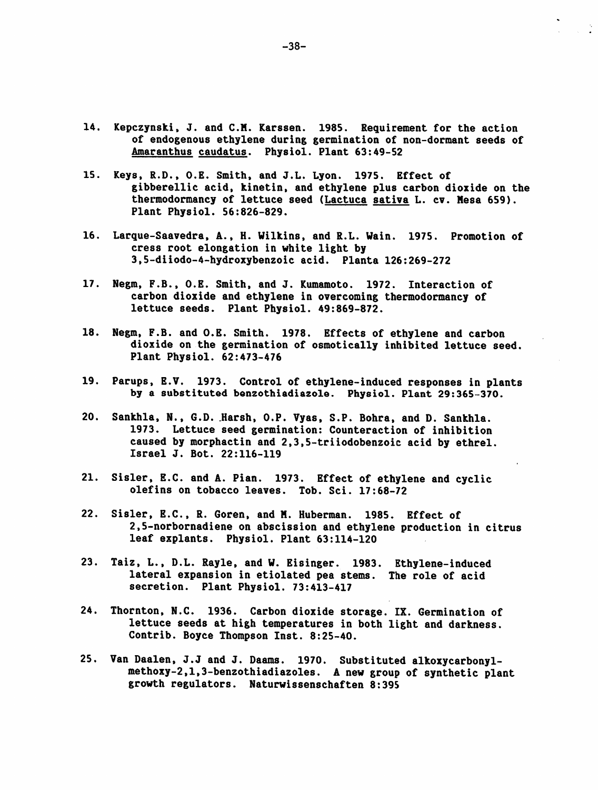- 14. Kepczynski, J. and CM. Karssen. 1985. Requirement for the action of endogenous ethylene during germination of non-dormant seeds of Amaranthus caudatus. Physiol. Plant 63:49-52
- 15. Keys, R.D., O.E. Smith, and J.L. Lyon. 1975. Effect of gibberellic acid, kinetin, and ethylene plus carbon dioxide on the thermodormancy of lettuce seed (Lactuca sativa L. cv. Mesa 659). Plant Physiol. 56:826-829.
- 16. Larque-Saavedra, A., H. Wilkins, and R.L. Wain. 1975. Promotion of cress root elongation in white light by 3,5-diiodo-4-hydroxybenzoic acid. Planta 126:269-272
- 17. Negm, F.B., O.E. Smith, and J. Kumamoto. 1972. Interaction of carbon dioxide and ethylene in overcoming thermodormancy of lettuce seeds. Plant Physiol. 49:869-872.
- 18. Negm, F.B. and O.E. Smith. 1978. Effects of ethylene and carbon dioxide on the germination of osmotically inhibited lettuce seed. Plant Physiol. 62:473-476
- 19. Parups, E.V. 1973. Control of ethylene-induced responses in plants by a substituted benzothiadiazole. Physiol. Plant 29:365-370.
- 20. Sankhla, N., G.D. Harsh, O.P. Vyas, S.P. Bohra, and D. Sankhla. 1973. Lettuce seed germination: Counteraction of inhibition caused by morphactin and 2,3,5-triiodobenzoic acid by ethrel. Israel J. Bot. 22:116-119
- 21. Sisler, B.C. and A. Pian. 1973. Effect of ethylene and cyclic olefins on tobacco leaves. Tob. Sci. 17:68-72
- 22. Sisler, B.C., R. Goren, and M. Huberman. 1985. Effect of 2,5-norbornadiene on abscission and ethylene production in citrus leaf explants. Physiol. Plant 63:114-120
- 23. Taiz, L., D.L. Rayle, and W. Eisinger. 1983. Ethylene-induced lateral expansion in etiolated pea stems. The role of acid secretion. Plant Physiol. 73:413-417
- 24. Thornton, N.C. 1936. Carbon dioxide storage. IX. Germination of lettuce seeds at high temperatures in both light and darkness. Contrib. Boyce Thompson Inst. 8:25-40.
- 25. Van Daalen, J.J and J. Daams. 1970. Substituted alkoxycarbonylmethoxy-2,l,3-benzothiadiazoles. A new group of synthetic plant growth regulators. Naturwissenschaften 8:395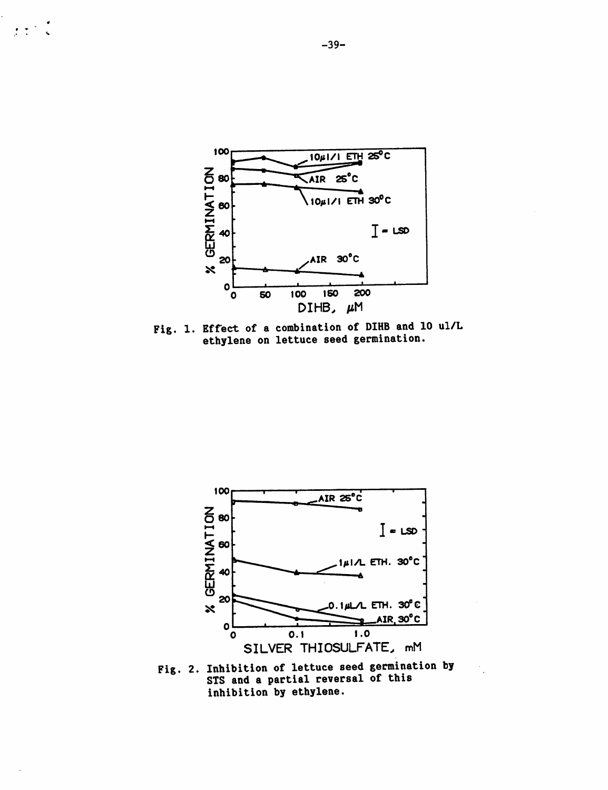

Fig. 1. Effect of a combination of DIHB and 10 ul/L ethylene on lettuce seed germination.



STS and a partial reversal of this inhibition by ethylene.

 $\frac{1}{2} \left( \frac{1}{2} \right)^2 = \frac{1}{2}$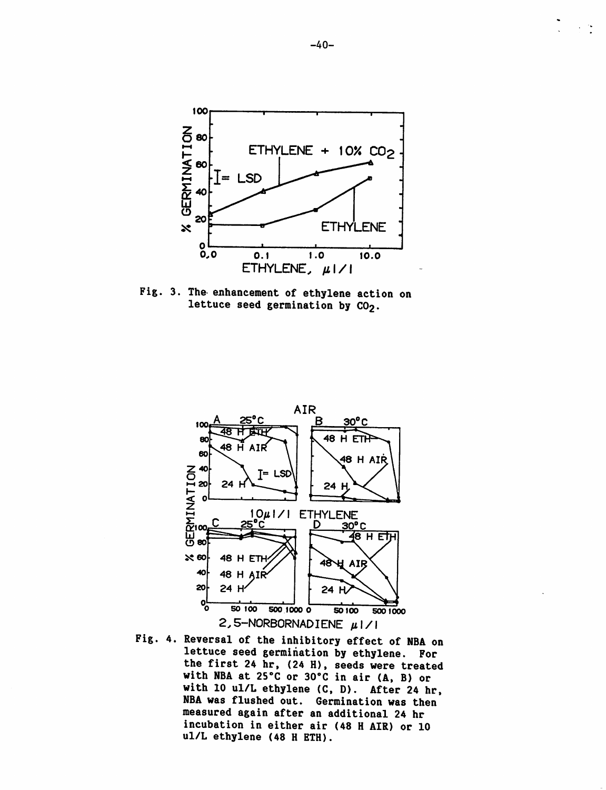

*Fig. 3. The enhancement of ethylene action on lettuce seed germination by CO2.*



Fig. 4. Reversal of the inhibitory effect of NBA on lettuce seed germination by ethylene. For the first 24 hr, (24 H), seeds were treated with NBA at 25°C or 30°C in air (A, B) or with 10 ul/L ethylene (C, D). After 24 hr, NBA was flushed out. Germination was then measured again after an additional 24 hr incubation in either air (48 H AIR) or 10 ul/L ethylene (48 H ETH).

*-40-*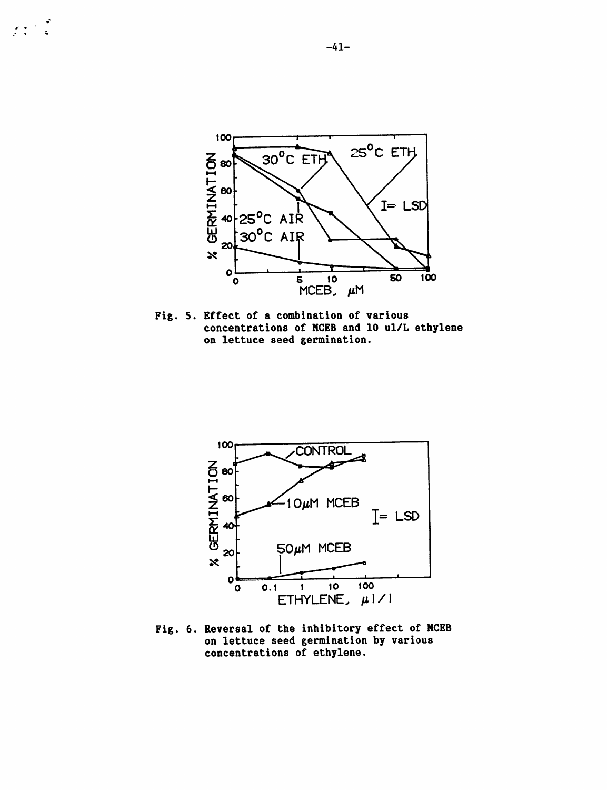

Fig. 5. Effect of a combination of various concentrations of HCEB and 10 ul/L ethylene on lettuce seed germination.



Fig. 6. Reversal of the inhibitory effect of MCEB on lettuce seed germination by various concentrations of ethylene.

 $\begin{array}{ccc}\n\bullet & & & \bullet \\
\bullet & & & \bullet \\
\bullet & & & \bullet\n\end{array}$